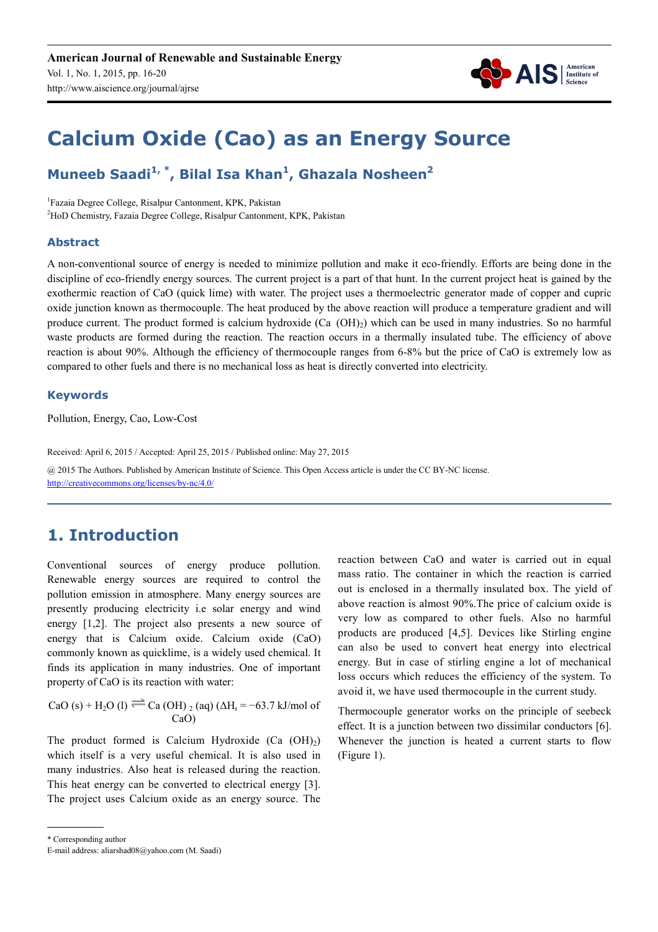

# **Calcium Oxide (Cao) as an Energy Source**

### **Muneeb Saadi1, \*, Bilal Isa Khan<sup>1</sup> , Ghazala Nosheen<sup>2</sup>**

1 Fazaia Degree College, Risalpur Cantonment, KPK, Pakistan <sup>2</sup>HoD Chemistry, Fazaia Degree College, Risalpur Cantonment, KPK, Pakistan

#### **Abstract**

A non-conventional source of energy is needed to minimize pollution and make it eco-friendly. Efforts are being done in the discipline of eco-friendly energy sources. The current project is a part of that hunt. In the current project heat is gained by the exothermic reaction of CaO (quick lime) with water. The project uses a thermoelectric generator made of copper and cupric oxide junction known as thermocouple. The heat produced by the above reaction will produce a temperature gradient and will produce current. The product formed is calcium hydroxide (Ca  $(OH)_{2}$ ) which can be used in many industries. So no harmful waste products are formed during the reaction. The reaction occurs in a thermally insulated tube. The efficiency of above reaction is about 90%. Although the efficiency of thermocouple ranges from 6-8% but the price of CaO is extremely low as compared to other fuels and there is no mechanical loss as heat is directly converted into electricity.

#### **Keywords**

Pollution, Energy, Cao, Low-Cost

Received: April 6, 2015 / Accepted: April 25, 2015 / Published online: May 27, 2015

@ 2015 The Authors. Published by American Institute of Science. This Open Access article is under the CC BY-NC license. http://creativecommons.org/licenses/by-nc/4.0/

## **1. Introduction**

Conventional sources of energy produce pollution. Renewable energy sources are required to control the pollution emission in atmosphere. Many energy sources are presently producing electricity i.e solar energy and wind energy [1,2]. The project also presents a new source of energy that is Calcium oxide. Calcium oxide (CaO) commonly known as quicklime, is a widely used chemical. It finds its application in many industries. One of important property of CaO is its reaction with water:

CaO (s) + H<sub>2</sub>O (l) <sup>=</sup> Ca (OH) <sub>2</sub> (aq) ( $\Delta$ H<sub>r</sub> = −63.7 kJ/mol of CaO)

The product formed is Calcium Hydroxide  $(Ca (OH)<sub>2</sub>)$ which itself is a very useful chemical. It is also used in many industries. Also heat is released during the reaction. This heat energy can be converted to electrical energy [3]. The project uses Calcium oxide as an energy source. The reaction between CaO and water is carried out in equal mass ratio. The container in which the reaction is carried out is enclosed in a thermally insulated box. The yield of above reaction is almost 90%.The price of calcium oxide is very low as compared to other fuels. Also no harmful products are produced [4,5]. Devices like Stirling engine can also be used to convert heat energy into electrical energy. But in case of stirling engine a lot of mechanical loss occurs which reduces the efficiency of the system. To avoid it, we have used thermocouple in the current study.

Thermocouple generator works on the principle of seebeck effect. It is a junction between two dissimilar conductors [6]. Whenever the junction is heated a current starts to flow (Figure 1).

\* Corresponding author

E-mail address: aliarshad08@yahoo.com (M. Saadi)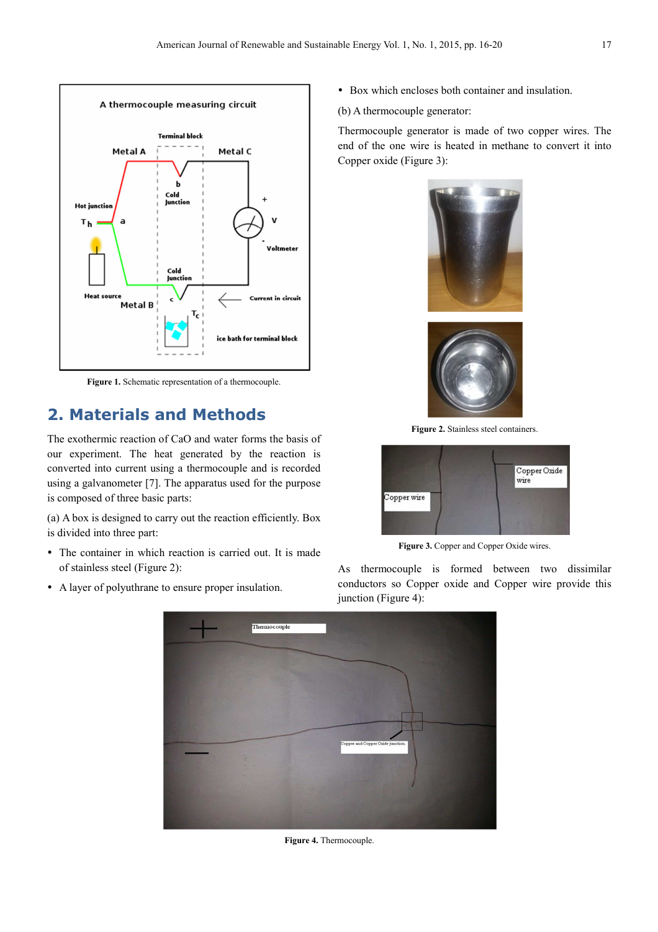

Figure 1. Schematic representation of a thermocouple.

#### **2. Materials and Methods**

The exothermic reaction of CaO and water forms the basis of our experiment. The heat generated by the reaction is converted into current using a thermocouple and is recorded using a galvanometer [7]. The apparatus used for the purpose is composed of three basic parts:

(a) A box is designed to carry out the reaction efficiently. Box is divided into three part:

- The container in which reaction is carried out. It is made of stainless steel (Figure 2):
- A layer of polyuthrane to ensure proper insulation.
- Box which encloses both container and insulation.
- (b) A thermocouple generator:

Thermocouple generator is made of two copper wires. The end of the one wire is heated in methane to convert it into Copper oxide (Figure 3):



Figure 2. Stainless steel containers.



Figure 3. Copper and Copper Oxide wires.

As thermocouple is formed between two dissimilar conductors so Copper oxide and Copper wire provide this junction (Figure 4):



Figure 4. Thermocouple.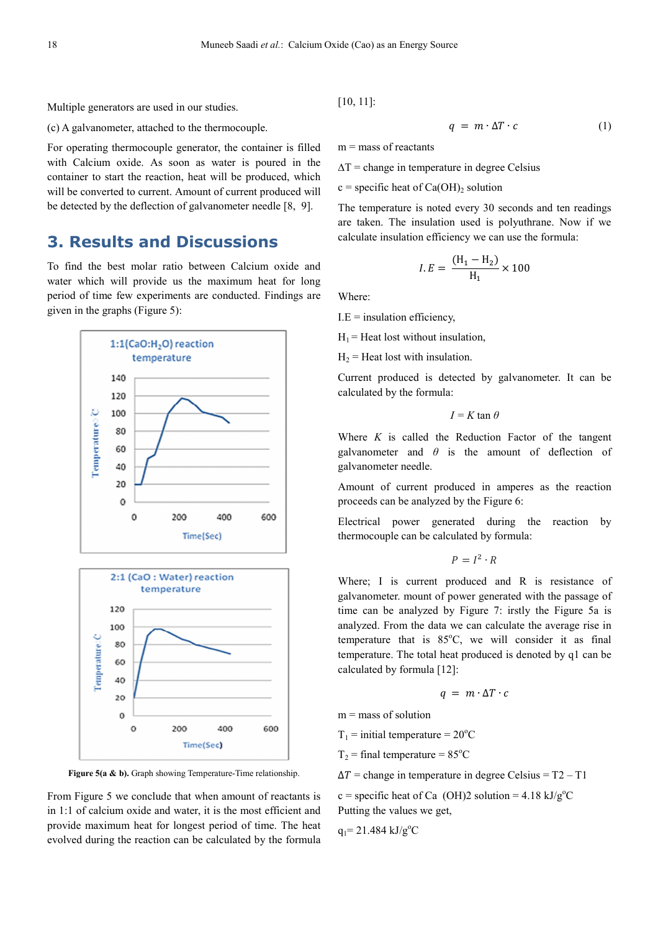Multiple generators are used in our studies.

(c) A galvanometer, attached to the thermocouple.

For operating thermocouple generator, the container is filled with Calcium oxide. As soon as water is poured in the container to start the reaction, heat will be produced, which will be converted to current. Amount of current produced will be detected by the deflection of galvanometer needle [8, 9].

#### **3. Results and Discussions**

To find the best molar ratio between Calcium oxide and water which will provide us the maximum heat for long period of time few experiments are conducted. Findings are given in the graphs (Figure 5):





**Figure 5(a & b).** Graph showing Temperature-Time relationship.

From Figure 5 we conclude that when amount of reactants is in 1:1 of calcium oxide and water, it is the most efficient and provide maximum heat for longest period of time. The heat evolved during the reaction can be calculated by the formula

[10, 11]:

$$
q = m \cdot \Delta T \cdot c \tag{1}
$$

 $m =$  mass of reactants

 $\Delta T$  = change in temperature in degree Celsius

 $c$  = specific heat of Ca(OH)<sub>2</sub> solution

The temperature is noted every 30 seconds and ten readings are taken. The insulation used is polyuthrane. Now if we calculate insulation efficiency we can use the formula:

$$
I.E = \frac{(H_1 - H_2)}{H_1} \times 100
$$

Where:

 $I.E =$  insulation efficiency,

 $H_1$  = Heat lost without insulation,

 $H_2$  = Heat lost with insulation.

Current produced is detected by galvanometer. It can be calculated by the formula:

$$
I = K \tan \theta
$$

Where *K* is called the Reduction Factor of the tangent galvanometer and  $\theta$  is the amount of deflection of galvanometer needle.

Amount of current produced in amperes as the reaction proceeds can be analyzed by the Figure 6:

Electrical power generated during the reaction by thermocouple can be calculated by formula:

$$
P = I^2 \cdot R
$$

Where; I is current produced and R is resistance of galvanometer. mount of power generated with the passage of time can be analyzed by Figure 7: irstly the Figure 5a is analyzed. From the data we can calculate the average rise in temperature that is  $85^{\circ}$ C, we will consider it as final temperature. The total heat produced is denoted by q1 can be calculated by formula [12]:

$$
q = m \cdot \Delta T \cdot c
$$

 $m =$  mass of solution

 $T_1$  = initial temperature = 20<sup>o</sup>C

 $T_2$  = final temperature = 85<sup>o</sup>C

 $\Delta T$  = change in temperature in degree Celsius = T2 – T1

c = specific heat of Ca (OH)2 solution =  $4.18 \text{ kJ/g}^{\circ}\text{C}$ Putting the values we get,

 $q_1$ = 21.484 kJ/g<sup>o</sup>C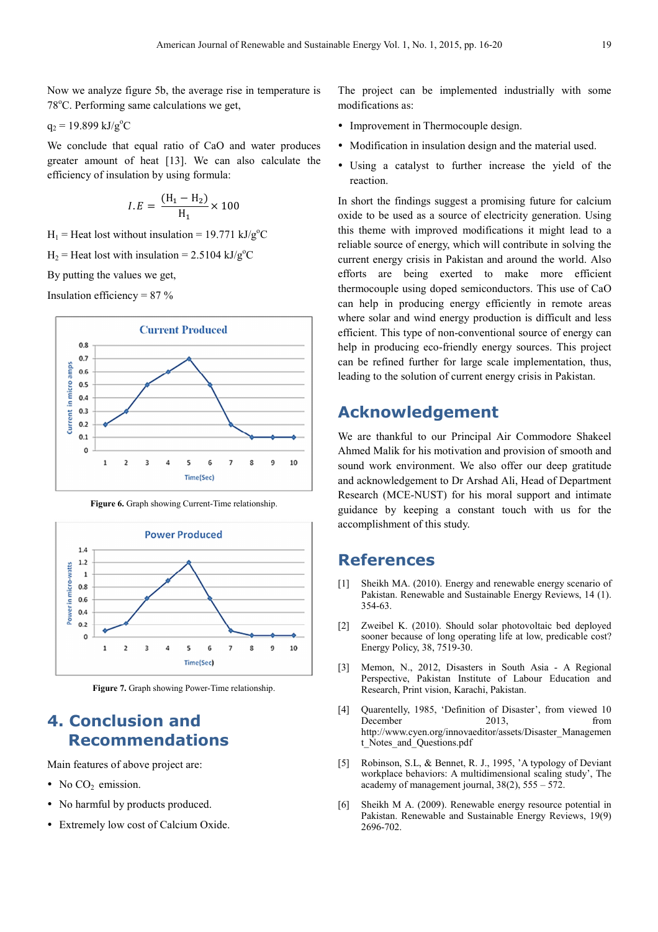Now we analyze figure 5b, the average rise in temperature is 78°C. Performing same calculations we get,

 $q_2 = 19.899 \text{ kJ/g}^{\circ}\text{C}$ 

We conclude that equal ratio of CaO and water produces greater amount of heat [13]. We can also calculate the efficiency of insulation by using formula:

$$
I.E = \frac{(H_1 - H_2)}{H_1} \times 100
$$

 $H_1$  = Heat lost without insulation = 19.771 kJ/g<sup>o</sup>C

 $H_2$  = Heat lost with insulation = 2.5104 kJ/g<sup>o</sup>C

By putting the values we get,

Insulation efficiency =  $87\%$ 



**Figure 6.** Graph showing Current-Time relationship.



**Figure 7.** Graph showing Power-Time relationship.

### **4. Conclusion and Recommendations**

Main features of above project are:

- No  $CO<sub>2</sub>$  emission.
- No harmful by products produced.
- Extremely low cost of Calcium Oxide.

The project can be implemented industrially with some modifications as:

- Improvement in Thermocouple design.
- Modification in insulation design and the material used.
- Using a catalyst to further increase the yield of the reaction.

In short the findings suggest a promising future for calcium oxide to be used as a source of electricity generation. Using this theme with improved modifications it might lead to a reliable source of energy, which will contribute in solving the current energy crisis in Pakistan and around the world. Also efforts are being exerted to make more efficient thermocouple using doped semiconductors. This use of CaO can help in producing energy efficiently in remote areas where solar and wind energy production is difficult and less efficient. This type of non-conventional source of energy can help in producing eco-friendly energy sources. This project can be refined further for large scale implementation, thus, leading to the solution of current energy crisis in Pakistan.

### **Acknowledgement**

We are thankful to our Principal Air Commodore Shakeel Ahmed Malik for his motivation and provision of smooth and sound work environment. We also offer our deep gratitude and acknowledgement to Dr Arshad Ali, Head of Department Research (MCE-NUST) for his moral support and intimate guidance by keeping a constant touch with us for the accomplishment of this study.

#### **References**

- [1] Sheikh MA. (2010). Energy and renewable energy scenario of Pakistan. Renewable and Sustainable Energy Reviews, 14 (1). 354-63.
- [2] Zweibel K. (2010). Should solar photovoltaic bed deployed sooner because of long operating life at low, predicable cost? Energy Policy, 38, 7519-30.
- [3] Memon, N., 2012, Disasters in South Asia A Regional Perspective, Pakistan Institute of Labour Education and Research, Print vision, Karachi, Pakistan.
- [4] Quarentelly, 1985, 'Definition of Disaster', from viewed 10 December 2013, from http://www.cyen.org/innovaeditor/assets/Disaster\_Managemen t\_Notes\_and\_Questions.pdf
- [5] Robinson, S.L, & Bennet, R. J., 1995, 'A typology of Deviant workplace behaviors: A multidimensional scaling study', The academy of management journal,  $38(2)$ ,  $555 - 572$ .
- [6] Sheikh M A. (2009). Renewable energy resource potential in Pakistan. Renewable and Sustainable Energy Reviews, 19(9) 2696-702.